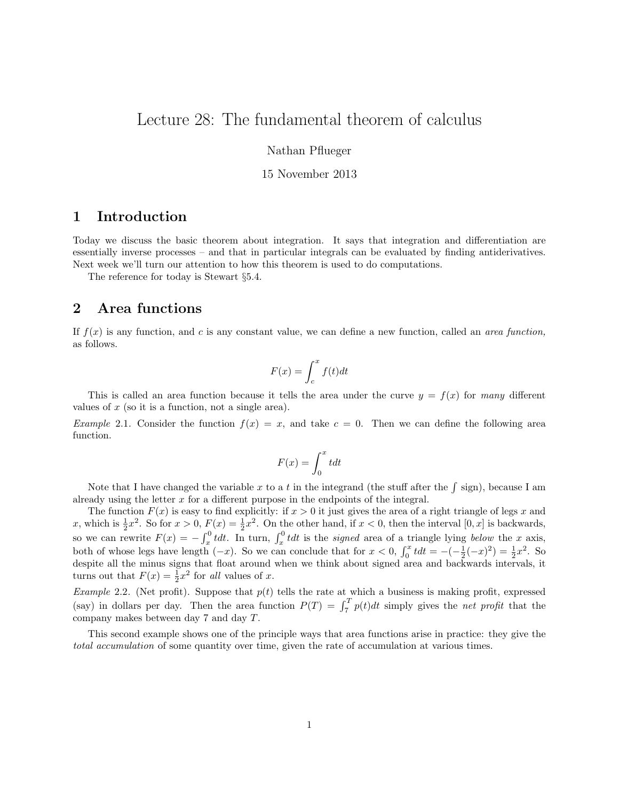# Lecture 28: The fundamental theorem of calculus

Nathan Pflueger

15 November 2013

### 1 Introduction

Today we discuss the basic theorem about integration. It says that integration and differentiation are essentially inverse processes – and that in particular integrals can be evaluated by finding antiderivatives. Next week we'll turn our attention to how this theorem is used to do computations.

The reference for today is Stewart §5.4.

### 2 Area functions

If  $f(x)$  is any function, and c is any constant value, we can define a new function, called an *area function*, as follows.

$$
F(x) = \int_{c}^{x} f(t)dt
$$

This is called an area function because it tells the area under the curve  $y = f(x)$  for many different values of  $x$  (so it is a function, not a single area).

*Example* 2.1. Consider the function  $f(x) = x$ , and take  $c = 0$ . Then we can define the following area function.

$$
F(x) = \int_0^x t dt
$$

Note that I have changed the variable x to a t in the integrand (the stuff after the  $\int$  sign), because I am already using the letter  $x$  for a different purpose in the endpoints of the integral.

The function  $F(x)$  is easy to find explicitly: if  $x > 0$  it just gives the area of a right triangle of legs x and x, which is  $\frac{1}{2}x^2$ . So for  $x > 0$ ,  $F(x) = \frac{1}{2}x^2$ . On the other hand, if  $x < 0$ , then the interval  $[0, x]$  is backwards,  $2^u$  . So for  $u > 0, 1(u) - 2$ so we can rewrite  $F(x) = -\int_x^0 t dt$ . In turn,  $\int_x^0 t dt$  is the *signed* area of a triangle lying *below* the x axis, both of whose legs have length  $(-x)$ . So we can conclude that for  $x < 0$ ,  $\int_0^x t dt = -(-\frac{1}{2}(-x)^2) = \frac{1}{2}x^2$ . So despite all the minus signs that float around when we think about signed area and backwards intervals, it turns out that  $F(x) = \frac{1}{2}x^2$  for all values of x.

Example 2.2. (Net profit). Suppose that  $p(t)$  tells the rate at which a business is making profit, expressed (say) in dollars per day. Then the area function  $P(T) = \int_{7}^{T} p(t)dt$  simply gives the *net profit* that the company makes between day 7 and day T.

This second example shows one of the principle ways that area functions arise in practice: they give the total accumulation of some quantity over time, given the rate of accumulation at various times.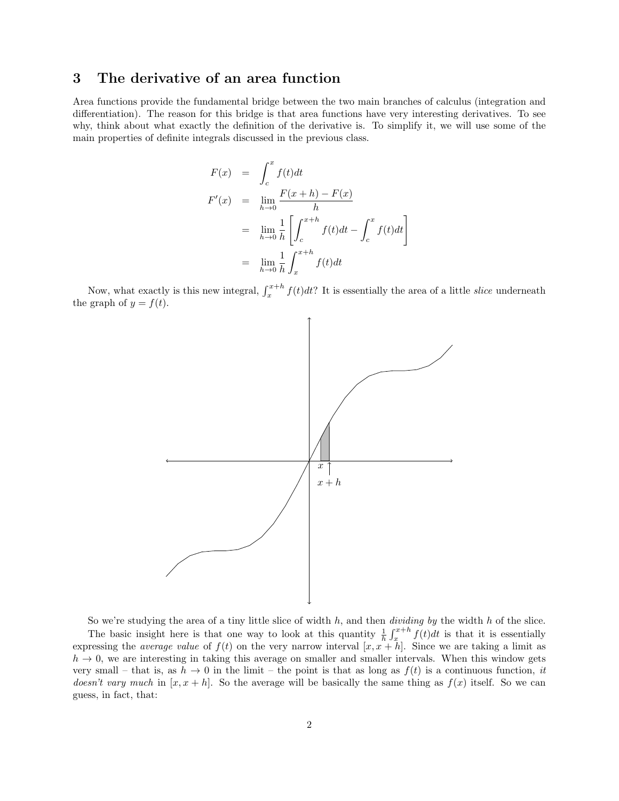## 3 The derivative of an area function

Area functions provide the fundamental bridge between the two main branches of calculus (integration and differentiation). The reason for this bridge is that area functions have very interesting derivatives. To see why, think about what exactly the definition of the derivative is. To simplify it, we will use some of the main properties of definite integrals discussed in the previous class.

$$
F(x) = \int_{c}^{x} f(t)dt
$$
  
\n
$$
F'(x) = \lim_{h \to 0} \frac{F(x+h) - F(x)}{h}
$$
  
\n
$$
= \lim_{h \to 0} \frac{1}{h} \left[ \int_{c}^{x+h} f(t)dt - \int_{c}^{x} f(t)dt \right]
$$
  
\n
$$
= \lim_{h \to 0} \frac{1}{h} \int_{x}^{x+h} f(t)dt
$$

Now, what exactly is this new integral,  $\int_x^{x+h} f(t)dt$ ? It is essentially the area of a little slice underneath the graph of  $y = f(t)$ .



So we're studying the area of a tiny little slice of width  $h$ , and then *dividing by* the width  $h$  of the slice.

The basic insight here is that one way to look at this quantity  $\frac{1}{h} \int_x^{x+h} f(t)dt$  is that it is essentially expressing the *average value* of  $f(t)$  on the very narrow interval  $[x, x + h]$ . Since we are taking a limit as  $h \to 0$ , we are interesting in taking this average on smaller and smaller intervals. When this window gets very small – that is, as  $h \to 0$  in the limit – the point is that as long as  $f(t)$  is a continuous function, it doesn't vary much in  $[x, x + h]$ . So the average will be basically the same thing as  $f(x)$  itself. So we can guess, in fact, that: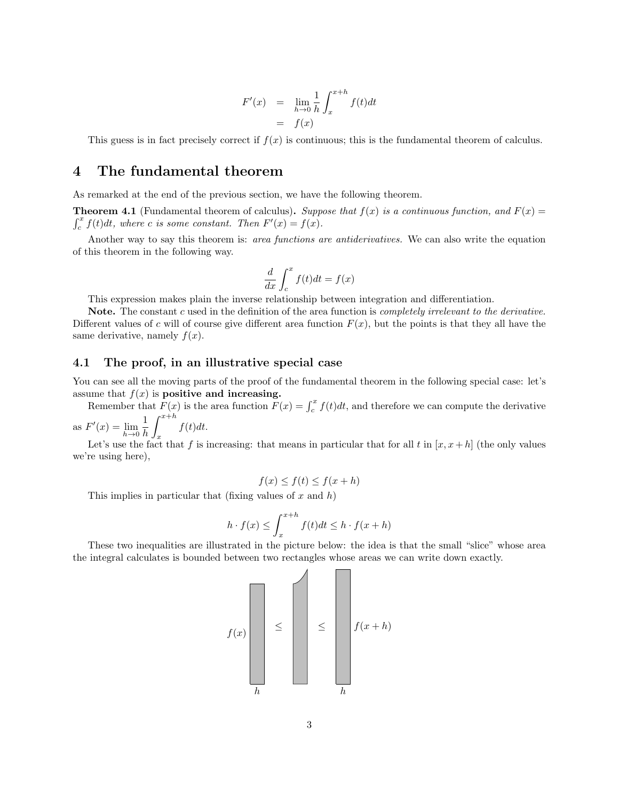$$
F'(x) = \lim_{h \to 0} \frac{1}{h} \int_x^{x+h} f(t)dt
$$

$$
= f(x)
$$

This guess is in fact precisely correct if  $f(x)$  is continuous; this is the fundamental theorem of calculus.

### 4 The fundamental theorem

As remarked at the end of the previous section, we have the following theorem.

**Theorem 4.1** (Fundamental theorem of calculus). Suppose that  $f(x)$  is a continuous function, and  $F(x) =$  $\int_{c}^{x} f(t)dt$ , where c is some constant. Then  $F'(x) = f(x)$ .

Another way to say this theorem is: area functions are antiderivatives. We can also write the equation of this theorem in the following way.

$$
\frac{d}{dx} \int_{c}^{x} f(t)dt = f(x)
$$

This expression makes plain the inverse relationship between integration and differentiation.

Note. The constant c used in the definition of the area function is *completely irrelevant to the derivative*. Different values of c will of course give different area function  $F(x)$ , but the points is that they all have the same derivative, namely  $f(x)$ .

#### 4.1 The proof, in an illustrative special case

You can see all the moving parts of the proof of the fundamental theorem in the following special case: let's assume that  $f(x)$  is **positive and increasing.** 

Remember that  $F(x)$  is the area function  $F(x) = \int_c^x f(t)dt$ , and therefore we can compute the derivative

as  $F'(x) = \lim_{h \to 0}$ 1 h  $\int x+h$ x  $f(t)dt$ .

Let's use the fact that f is increasing: that means in particular that for all t in  $[x, x+h]$  (the only values we're using here),

$$
f(x) \le f(t) \le f(x+h)
$$

This implies in particular that (fixing values of  $x$  and  $h$ )

$$
h \cdot f(x) \le \int_{x}^{x+h} f(t)dt \le h \cdot f(x+h)
$$

These two inequalities are illustrated in the picture below: the idea is that the small "slice" whose area the integral calculates is bounded between two rectangles whose areas we can write down exactly.

$$
f(x)\left[\begin{array}{c} \begin{array}{c} \begin{array}{c} \begin{array}{c} \end{array}\\ \begin{array}{c} \end{array}\\ \begin{array}{c} \end{array}\\ \begin{array}{c} \end{array}\\ \begin{array}{c} \end{array}\\ \begin{array}{c} \end{array}\\ \begin{array}{c} \end{array}\\ \begin{array}{c} \end{array}\\ \begin{array}{c} \end{array}\\ \begin{array}{c} \end{array}\\ \begin{array}{c} \end{array}\\ \begin{array}{c} \end{array}\\ \begin{array}{c} \end{array}\\ \begin{array}{c} \end{array}\\ \begin{array}{c} \end{array}\\ \begin{array}{c} \end{array}\\ \begin{array}{c} \end{array}\\ \begin{array}{c} \end{array}\\ \begin{array}{c} \end{array}\\ \begin{array}{c} \end{array}\\ \begin{array}{c} \end{array}\\ \begin{array}{c} \end{array}\\ \begin{array}{c} \end{array}\\ \begin{array}{c} \end{array}\\ \begin{array}{c} \end{array}\\ \begin{array}{c} \end{array}\\ \begin{array}{c} \end{array}\\ \begin{array}{c} \end{array}\\ \begin{array}{c} \end{array}\\ \begin{array}{c} \end{array}\\ \begin{array}{c} \end{array}\\ \begin{array}{c} \end{array}\\ \begin{array}{c} \end{array}\\ \begin{array}{c} \end{array}\\ \begin{array}{c} \end{array}\\ \begin{array}{c} \end{array}\\ \begin{array}{c} \end{array}\\ \begin{array}{c} \end{array}\\ \begin{array}{c} \end{array}\\ \begin{array}{c} \end{array}\\ \begin{array}{c} \end{array}\\ \begin{array}{c} \end{array}\\ \begin{array}{c} \end{array}\\ \begin{array}{c} \end{array}\\ \begin{array}{c} \end{array}\\ \begin{array}{c} \end{array}\\ \begin{array}{c} \end{array}\\ \begin{array}{c} \end{array}\\ \begin{array}{c} \end{array}\\ \begin{array}{c} \end{array}\\ \begin{array}{c} \end{array}\\ \begin{array}{c} \end{array}\\ \begin{array}{c} \end{array}\\ \begin{array}{c} \end{array}\\ \begin{array}{c} \end{array}\\ \begin{array}{c} \end{array}\\ \begin{array}{c} \end{array}\\ \begin{array}{c} \end{array}\\ \begin{array}{c} \end{array}\\ \begin{array}{c} \end{array}\\ \begin{array}{c} \end{array}\\ \begin
$$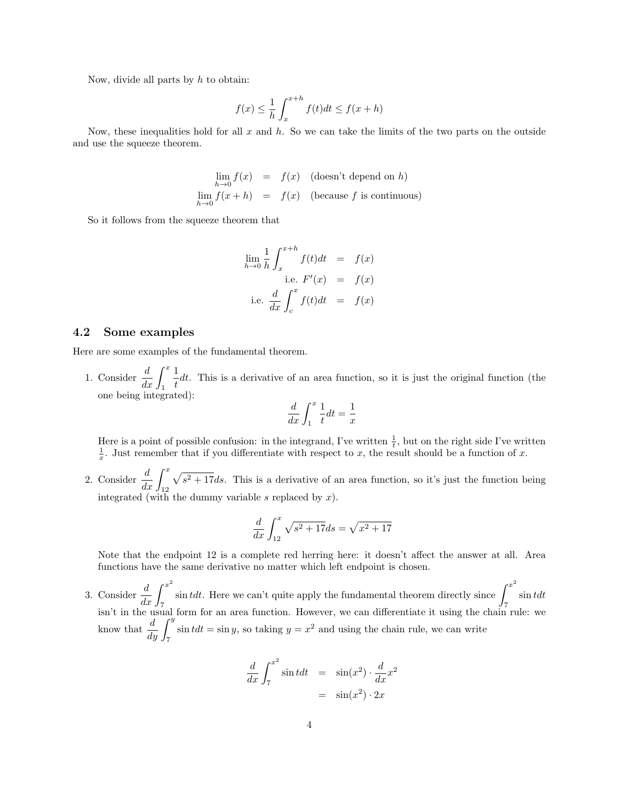Now, divide all parts by h to obtain:

$$
f(x) \le \frac{1}{h} \int_{x}^{x+h} f(t)dt \le f(x+h)
$$

Now, these inequalities hold for all  $x$  and  $h$ . So we can take the limits of the two parts on the outside and use the squeeze theorem.

$$
\lim_{h \to 0} f(x) = f(x) \quad \text{(doesn't depend on } h)
$$
\n
$$
\lim_{h \to 0} f(x+h) = f(x) \quad \text{(because } f \text{ is continuous)}
$$

So it follows from the squeeze theorem that

$$
\lim_{h \to 0} \frac{1}{h} \int_{x}^{x+h} f(t)dt = f(x)
$$
  
i.e.  $F'(x) = f(x)$   
i.e.  $\frac{d}{dx} \int_{c}^{x} f(t)dt = f(x)$ 

#### 4.2 Some examples

Here are some examples of the fundamental theorem.

1. Consider  $\frac{d}{dx} \int_1^x$ 1  $\frac{1}{t}dt$ . This is a derivative of an area function, so it is just the original function (the one being integrated):

$$
\frac{d}{dx}\int_1^x\frac{1}{t}dt=\frac{1}{x}
$$

Here is a point of possible confusion: in the integrand, I've written  $\frac{1}{t}$ , but on the right side I've written  $\frac{1}{x}$ . Just remember that if you differentiate with respect to x, the result should be a function of x.

2. Consider  $\frac{d}{dx} \int_{12}^x$  $\sqrt{s^2+17}$ ds. This is a derivative of an area function, so it's just the function being integrated (with the dummy variable s replaced by  $x$ ).

$$
\frac{d}{dx} \int_{12}^{x} \sqrt{s^2 + 17} ds = \sqrt{x^2 + 17}
$$

Note that the endpoint 12 is a complete red herring here: it doesn't affect the answer at all. Area functions have the same derivative no matter which left endpoint is chosen.

3. Consider  $\frac{d}{dx} \int_{7}^{x^2}$ 7  $\sin t dt$ . Here we can't quite apply the fundamental theorem directly since  $\int^{x^2}$ 7  $\sin t dt$ isn't in the usual form for an area function. However, we can differentiate it using the chain rule: we know that  $\frac{d}{dy} \int_{7}^{y}$  $\sin t dt = \sin y$ , so taking  $y = x^2$  and using the chain rule, we can write

$$
\frac{d}{dx} \int_7^{x^2} \sin t dt = \sin(x^2) \cdot \frac{d}{dx} x^2
$$

$$
= \sin(x^2) \cdot 2x
$$